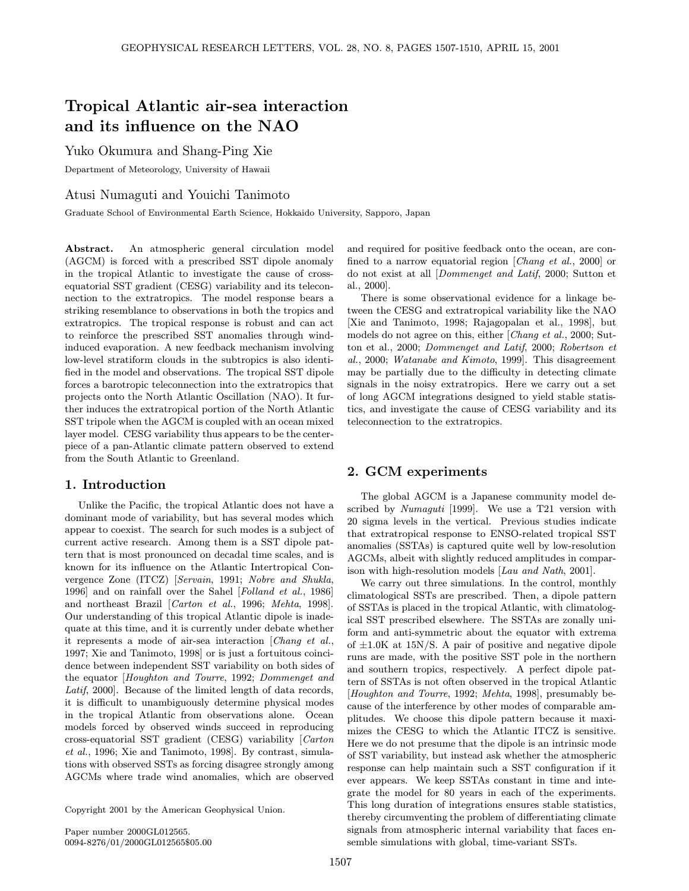# Tropical Atlantic air-sea interaction and its influence on the NAO

Yuko Okumura and Shang-Ping Xie

Department of Meteorology, University of Hawaii

Atusi Numaguti and Youichi Tanimoto

Graduate School of Environmental Earth Science, Hokkaido University, Sapporo, Japan

Abstract. An atmospheric general circulation model (AGCM) is forced with a prescribed SST dipole anomaly in the tropical Atlantic to investigate the cause of crossequatorial SST gradient (CESG) variability and its teleconnection to the extratropics. The model response bears a striking resemblance to observations in both the tropics and extratropics. The tropical response is robust and can act to reinforce the prescribed SST anomalies through windinduced evaporation. A new feedback mechanism involving low-level stratiform clouds in the subtropics is also identified in the model and observations. The tropical SST dipole forces a barotropic teleconnection into the extratropics that projects onto the North Atlantic Oscillation (NAO). It further induces the extratropical portion of the North Atlantic SST tripole when the AGCM is coupled with an ocean mixed layer model. CESG variability thus appears to be the centerpiece of a pan-Atlantic climate pattern observed to extend from the South Atlantic to Greenland.

## 1. Introduction

Unlike the Pacific, the tropical Atlantic does not have a dominant mode of variability, but has several modes which appear to coexist. The search for such modes is a subject of current active research. Among them is a SST dipole pattern that is most pronounced on decadal time scales, and is known for its influence on the Atlantic Intertropical Convergence Zone (ITCZ) [Servain, 1991; Nobre and Shukla, 1996] and on rainfall over the Sahel [Folland et al., 1986] and northeast Brazil [Carton et al., 1996; Mehta, 1998]. Our understanding of this tropical Atlantic dipole is inadequate at this time, and it is currently under debate whether it represents a mode of air-sea interaction [Chang et al., 1997; Xie and Tanimoto, 1998] or is just a fortuitous coincidence between independent SST variability on both sides of the equator [Houghton and Tourre, 1992; Dommenget and Latif, 2000]. Because of the limited length of data records, it is difficult to unambiguously determine physical modes in the tropical Atlantic from observations alone. Ocean models forced by observed winds succeed in reproducing cross-equatorial SST gradient (CESG) variability [Carton et al., 1996; Xie and Tanimoto, 1998]. By contrast, simulations with observed SSTs as forcing disagree strongly among AGCMs where trade wind anomalies, which are observed

Copyright 2001 by the American Geophysical Union.

and required for positive feedback onto the ocean, are confined to a narrow equatorial region [Chang et al., 2000] or do not exist at all [Dommenget and Latif, 2000; Sutton et al., 2000].

There is some observational evidence for a linkage between the CESG and extratropical variability like the NAO [Xie and Tanimoto, 1998; Rajagopalan et al., 1998], but models do not agree on this, either [Chang et al., 2000; Sutton et al., 2000; Dommenget and Latif, 2000; Robertson et al., 2000; Watanabe and Kimoto, 1999]. This disagreement may be partially due to the difficulty in detecting climate signals in the noisy extratropics. Here we carry out a set of long AGCM integrations designed to yield stable statistics, and investigate the cause of CESG variability and its teleconnection to the extratropics.

### 2. GCM experiments

The global AGCM is a Japanese community model described by Numaguti [1999]. We use a T21 version with 20 sigma levels in the vertical. Previous studies indicate that extratropical response to ENSO-related tropical SST anomalies (SSTAs) is captured quite well by low-resolution AGCMs, albeit with slightly reduced amplitudes in comparison with high-resolution models [Lau and Nath, 2001].

We carry out three simulations. In the control, monthly climatological SSTs are prescribed. Then, a dipole pattern of SSTAs is placed in the tropical Atlantic, with climatological SST prescribed elsewhere. The SSTAs are zonally uniform and anti-symmetric about the equator with extrema of  $\pm 1.0$ K at  $15N/S$ . A pair of positive and negative dipole runs are made, with the positive SST pole in the northern and southern tropics, respectively. A perfect dipole pattern of SSTAs is not often observed in the tropical Atlantic [Houghton and Tourre, 1992; Mehta, 1998], presumably because of the interference by other modes of comparable amplitudes. We choose this dipole pattern because it maximizes the CESG to which the Atlantic ITCZ is sensitive. Here we do not presume that the dipole is an intrinsic mode of SST variability, but instead ask whether the atmospheric response can help maintain such a SST configuration if it ever appears. We keep SSTAs constant in time and integrate the model for 80 years in each of the experiments. This long duration of integrations ensures stable statistics, thereby circumventing the problem of differentiating climate signals from atmospheric internal variability that faces ensemble simulations with global, time-variant SSTs.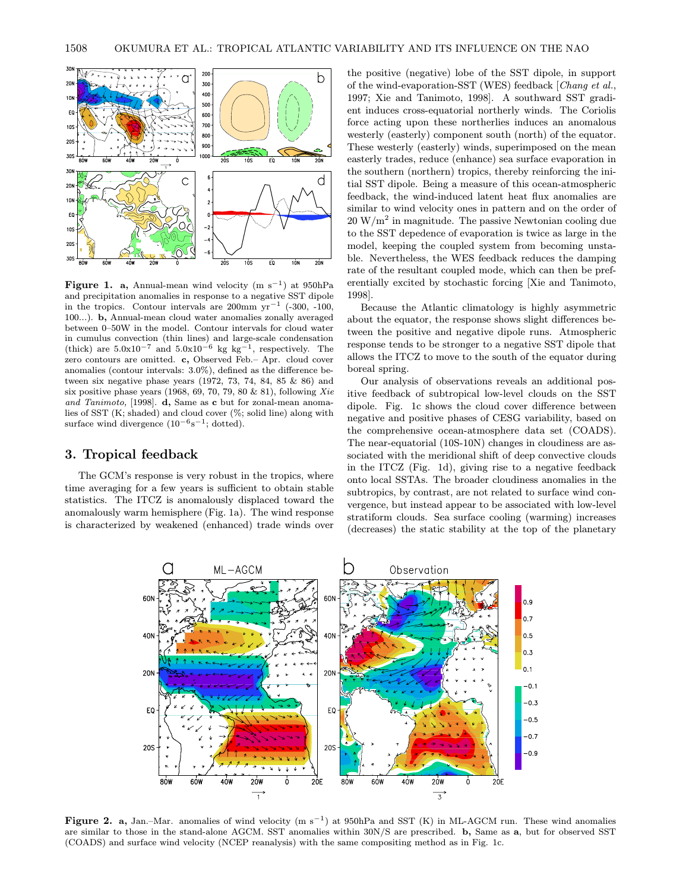

Figure 1. a, Annual-mean wind velocity (m s<sup>-1</sup>) at 950hPa and precipitation anomalies in response to a negative SST dipole in the tropics. Contour intervals are 200mm  $yr^{-1}$  (-300, -100, 100...). b, Annual-mean cloud water anomalies zonally averaged between 0–50W in the model. Contour intervals for cloud water in cumulus convection (thin lines) and large-scale condensation (thick) are  $5.0x10^{-7}$  and  $5.0x10^{-6}$  kg kg<sup>-1</sup>, respectively. The zero contours are omitted. c, Observed Feb.– Apr. cloud cover anomalies (contour intervals: 3.0%), defined as the difference between six negative phase years (1972, 73, 74, 84, 85 & 86) and six positive phase years (1968, 69, 70, 79, 80  $\&$  81), following Xie and Tanimoto, [1998]. **d**, Same as **c** but for zonal-mean anomalies of SST (K; shaded) and cloud cover (%; solid line) along with surface wind divergence  $(10^{-6} \text{s}^{-1}$ ; dotted).

## 3. Tropical feedback

The GCM's response is very robust in the tropics, where time averaging for a few years is sufficient to obtain stable statistics. The ITCZ is anomalously displaced toward the anomalously warm hemisphere (Fig. 1a). The wind response is characterized by weakened (enhanced) trade winds over the positive (negative) lobe of the SST dipole, in support of the wind-evaporation-SST (WES) feedback [Chang et al., 1997; Xie and Tanimoto, 1998]. A southward SST gradient induces cross-equatorial northerly winds. The Coriolis force acting upon these northerlies induces an anomalous westerly (easterly) component south (north) of the equator. These westerly (easterly) winds, superimposed on the mean easterly trades, reduce (enhance) sea surface evaporation in the southern (northern) tropics, thereby reinforcing the initial SST dipole. Being a measure of this ocean-atmospheric feedback, the wind-induced latent heat flux anomalies are similar to wind velocity ones in pattern and on the order of  $20 \,\mathrm{W/m^2}$  in magnitude. The passive Newtonian cooling due to the SST depedence of evaporation is twice as large in the model, keeping the coupled system from becoming unstable. Nevertheless, the WES feedback reduces the damping rate of the resultant coupled mode, which can then be preferentially excited by stochastic forcing [Xie and Tanimoto, 1998].

Because the Atlantic climatology is highly asymmetric about the equator, the response shows slight differences between the positive and negative dipole runs. Atmospheric response tends to be stronger to a negative SST dipole that allows the ITCZ to move to the south of the equator during boreal spring.

Our analysis of observations reveals an additional positive feedback of subtropical low-level clouds on the SST dipole. Fig. 1c shows the cloud cover difference between negative and positive phases of CESG variability, based on the comprehensive ocean-atmosphere data set (COADS). The near-equatorial (10S-10N) changes in cloudiness are associated with the meridional shift of deep convective clouds in the ITCZ (Fig. 1d), giving rise to a negative feedback onto local SSTAs. The broader cloudiness anomalies in the subtropics, by contrast, are not related to surface wind convergence, but instead appear to be associated with low-level stratiform clouds. Sea surface cooling (warming) increases (decreases) the static stability at the top of the planetary



Figure 2. a, Jan.–Mar. anomalies of wind velocity  $(m s^{-1})$  at 950hPa and SST (K) in ML-AGCM run. These wind anomalies are similar to those in the stand-alone AGCM. SST anomalies within 30N/S are prescribed. b, Same as a, but for observed SST (COADS) and surface wind velocity (NCEP reanalysis) with the same compositing method as in Fig. 1c.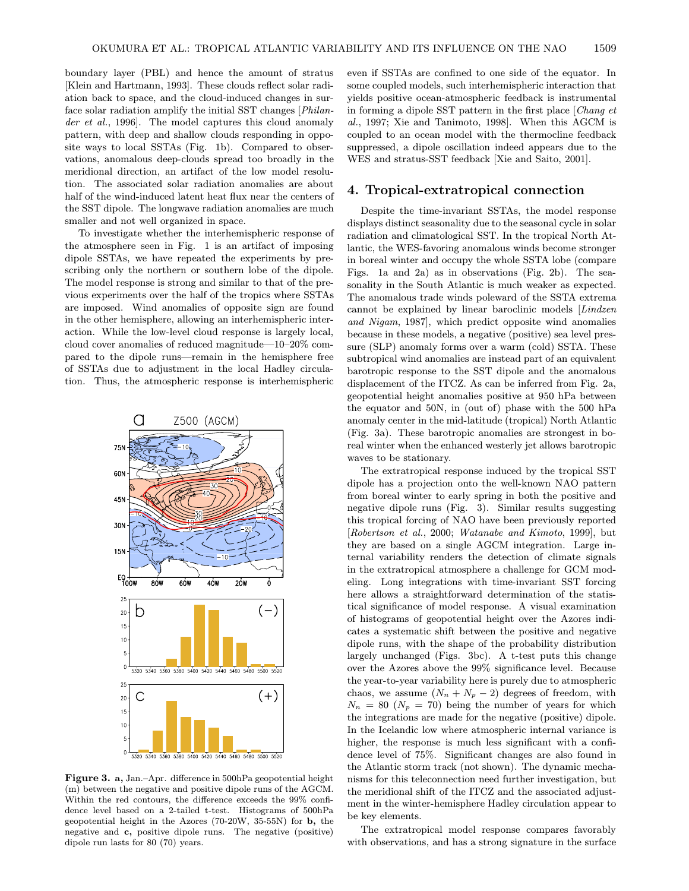boundary layer (PBL) and hence the amount of stratus [Klein and Hartmann, 1993]. These clouds reflect solar radiation back to space, and the cloud-induced changes in surface solar radiation amplify the initial SST changes [Philander et al., 1996]. The model captures this cloud anomaly pattern, with deep and shallow clouds responding in opposite ways to local SSTAs (Fig. 1b). Compared to observations, anomalous deep-clouds spread too broadly in the meridional direction, an artifact of the low model resolution. The associated solar radiation anomalies are about half of the wind-induced latent heat flux near the centers of the SST dipole. The longwave radiation anomalies are much smaller and not well organized in space.

To investigate whether the interhemispheric response of the atmosphere seen in Fig. 1 is an artifact of imposing dipole SSTAs, we have repeated the experiments by prescribing only the northern or southern lobe of the dipole. The model response is strong and similar to that of the previous experiments over the half of the tropics where SSTAs are imposed. Wind anomalies of opposite sign are found in the other hemisphere, allowing an interhemispheric interaction. While the low-level cloud response is largely local, cloud cover anomalies of reduced magnitude—10–20% compared to the dipole runs—remain in the hemisphere free of SSTAs due to adjustment in the local Hadley circulation. Thus, the atmospheric response is interhemispheric



Figure 3. a, Jan.–Apr. difference in 500hPa geopotential height (m) between the negative and positive dipole runs of the AGCM. Within the red contours, the difference exceeds the 99% confidence level based on a 2-tailed t-test. Histograms of 500hPa geopotential height in the Azores (70-20W, 35-55N) for b, the negative and c, positive dipole runs. The negative (positive) dipole run lasts for 80 (70) years.

even if SSTAs are confined to one side of the equator. In some coupled models, such interhemispheric interaction that yields positive ocean-atmospheric feedback is instrumental in forming a dipole SST pattern in the first place [Chang et al., 1997; Xie and Tanimoto, 1998]. When this AGCM is coupled to an ocean model with the thermocline feedback suppressed, a dipole oscillation indeed appears due to the WES and stratus-SST feedback [Xie and Saito, 2001].

#### 4. Tropical-extratropical connection

Despite the time-invariant SSTAs, the model response displays distinct seasonality due to the seasonal cycle in solar radiation and climatological SST. In the tropical North Atlantic, the WES-favoring anomalous winds become stronger in boreal winter and occupy the whole SSTA lobe (compare Figs. 1a and 2a) as in observations (Fig. 2b). The seasonality in the South Atlantic is much weaker as expected. The anomalous trade winds poleward of the SSTA extrema cannot be explained by linear baroclinic models [Lindzen and Nigam, 1987], which predict opposite wind anomalies because in these models, a negative (positive) sea level pressure (SLP) anomaly forms over a warm (cold) SSTA. These subtropical wind anomalies are instead part of an equivalent barotropic response to the SST dipole and the anomalous displacement of the ITCZ. As can be inferred from Fig. 2a, geopotential height anomalies positive at 950 hPa between the equator and 50N, in (out of) phase with the 500 hPa anomaly center in the mid-latitude (tropical) North Atlantic (Fig. 3a). These barotropic anomalies are strongest in boreal winter when the enhanced westerly jet allows barotropic waves to be stationary.

The extratropical response induced by the tropical SST dipole has a projection onto the well-known NAO pattern from boreal winter to early spring in both the positive and negative dipole runs (Fig. 3). Similar results suggesting this tropical forcing of NAO have been previously reported [Robertson et al., 2000; Watanabe and Kimoto, 1999], but they are based on a single AGCM integration. Large internal variability renders the detection of climate signals in the extratropical atmosphere a challenge for GCM modeling. Long integrations with time-invariant SST forcing here allows a straightforward determination of the statistical significance of model response. A visual examination of histograms of geopotential height over the Azores indicates a systematic shift between the positive and negative dipole runs, with the shape of the probability distribution largely unchanged (Figs. 3bc). A t-test puts this change over the Azores above the 99% significance level. Because the year-to-year variability here is purely due to atmospheric chaos, we assume  $(N_n + N_p - 2)$  degrees of freedom, with  $N_n = 80$  ( $N_p = 70$ ) being the number of years for which the integrations are made for the negative (positive) dipole. In the Icelandic low where atmospheric internal variance is higher, the response is much less significant with a confidence level of 75%. Significant changes are also found in the Atlantic storm track (not shown). The dynamic mechanisms for this teleconnection need further investigation, but the meridional shift of the ITCZ and the associated adjustment in the winter-hemisphere Hadley circulation appear to be key elements.

The extratropical model response compares favorably with observations, and has a strong signature in the surface